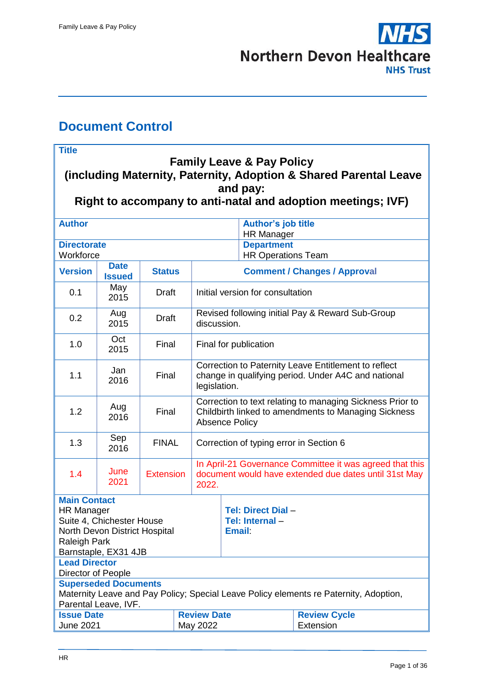

# <span id="page-0-0"></span>**Document Control**

'n

| <b>Title</b>                                                                                                                                          |                              |                  |  |                                                                                                                                            |                                                              |                                                                                       |  |
|-------------------------------------------------------------------------------------------------------------------------------------------------------|------------------------------|------------------|--|--------------------------------------------------------------------------------------------------------------------------------------------|--------------------------------------------------------------|---------------------------------------------------------------------------------------|--|
| <b>Family Leave &amp; Pay Policy</b><br>(including Maternity, Paternity, Adoption & Shared Parental Leave                                             |                              |                  |  |                                                                                                                                            |                                                              |                                                                                       |  |
| and pay:                                                                                                                                              |                              |                  |  |                                                                                                                                            |                                                              |                                                                                       |  |
|                                                                                                                                                       |                              |                  |  |                                                                                                                                            |                                                              | Right to accompany to anti-natal and adoption meetings; IVF)                          |  |
| <b>Author</b>                                                                                                                                         |                              |                  |  |                                                                                                                                            | <b>Author's job title</b><br><b>HR Manager</b>               |                                                                                       |  |
| <b>Directorate</b><br>Workforce                                                                                                                       |                              |                  |  |                                                                                                                                            | <b>Department</b><br><b>HR Operations Team</b>               |                                                                                       |  |
| <b>Version</b>                                                                                                                                        | <b>Date</b><br><b>Issued</b> | <b>Status</b>    |  | <b>Comment / Changes / Approval</b>                                                                                                        |                                                              |                                                                                       |  |
| 0.1                                                                                                                                                   | May<br>2015                  | <b>Draft</b>     |  | Initial version for consultation                                                                                                           |                                                              |                                                                                       |  |
| 0.2                                                                                                                                                   | Aug<br>2015                  | <b>Draft</b>     |  | Revised following initial Pay & Reward Sub-Group<br>discussion.                                                                            |                                                              |                                                                                       |  |
| 1.0                                                                                                                                                   | Oct<br>2015                  | Final            |  | Final for publication                                                                                                                      |                                                              |                                                                                       |  |
| 1.1                                                                                                                                                   | Jan<br>2016                  | Final            |  | Correction to Paternity Leave Entitlement to reflect<br>change in qualifying period. Under A4C and national<br>legislation.                |                                                              |                                                                                       |  |
| 1.2                                                                                                                                                   | Aug<br>2016                  | Final            |  | Correction to text relating to managing Sickness Prior to<br>Childbirth linked to amendments to Managing Sickness<br><b>Absence Policy</b> |                                                              |                                                                                       |  |
| 1.3                                                                                                                                                   | Sep<br>2016                  | <b>FINAL</b>     |  | Correction of typing error in Section 6                                                                                                    |                                                              |                                                                                       |  |
| 1.4                                                                                                                                                   | June<br>2021                 | <b>Extension</b> |  | In April-21 Governance Committee it was agreed that this<br>document would have extended due dates until 31st May<br>2022.                 |                                                              |                                                                                       |  |
| <b>Main Contact</b><br><b>HR Manager</b><br>Suite 4, Chichester House<br>North Devon District Hospital<br><b>Raleigh Park</b><br>Barnstaple, EX31 4JB |                              |                  |  |                                                                                                                                            | <b>Tel: Direct Dial -</b><br>Tel: Internal-<br><b>Email:</b> |                                                                                       |  |
| <b>Lead Director</b>                                                                                                                                  |                              |                  |  |                                                                                                                                            |                                                              |                                                                                       |  |
| Director of People<br><b>Superseded Documents</b>                                                                                                     |                              |                  |  |                                                                                                                                            |                                                              |                                                                                       |  |
|                                                                                                                                                       | Parental Leave, IVF.         |                  |  |                                                                                                                                            |                                                              | Maternity Leave and Pay Policy; Special Leave Policy elements re Paternity, Adoption, |  |
| <b>Review Date</b><br><b>Issue Date</b>                                                                                                               |                              |                  |  |                                                                                                                                            |                                                              | <b>Review Cycle</b>                                                                   |  |
| <b>June 2021</b><br>May 2022                                                                                                                          |                              |                  |  |                                                                                                                                            |                                                              | Extension                                                                             |  |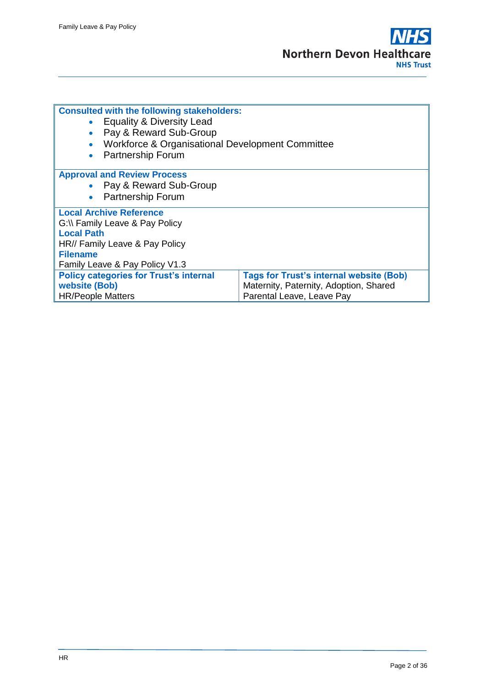| <b>Consulted with the following stakeholders:</b><br>• Equality & Diversity Lead<br>• Pay & Reward Sub-Group<br>Workforce & Organisational Development Committee<br><b>Partnership Forum</b> |                                                                                                                       |  |  |  |
|----------------------------------------------------------------------------------------------------------------------------------------------------------------------------------------------|-----------------------------------------------------------------------------------------------------------------------|--|--|--|
| <b>Approval and Review Process</b><br>• Pay & Reward Sub-Group<br>• Partnership Forum                                                                                                        |                                                                                                                       |  |  |  |
| <b>Local Archive Reference</b><br>G:\\ Family Leave & Pay Policy<br><b>Local Path</b><br>HR// Family Leave & Pay Policy<br><b>Filename</b><br>Family Leave & Pay Policy V1.3                 |                                                                                                                       |  |  |  |
| <b>Policy categories for Trust's internal</b><br>website (Bob)<br><b>HR/People Matters</b>                                                                                                   | <b>Tags for Trust's internal website (Bob)</b><br>Maternity, Paternity, Adoption, Shared<br>Parental Leave, Leave Pay |  |  |  |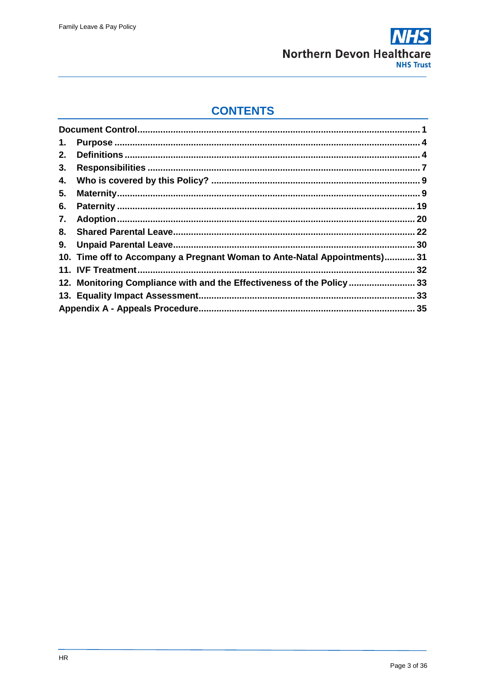

# **CONTENTS**

| 1. |                                                                           |  |
|----|---------------------------------------------------------------------------|--|
| 2. |                                                                           |  |
| 3. |                                                                           |  |
| 4. |                                                                           |  |
| 5. |                                                                           |  |
| 6. |                                                                           |  |
| 7. |                                                                           |  |
| 8. |                                                                           |  |
|    |                                                                           |  |
|    | 10. Time off to Accompany a Pregnant Woman to Ante-Natal Appointments) 31 |  |
|    |                                                                           |  |
|    | 12. Monitoring Compliance with and the Effectiveness of the Policy  33    |  |
|    |                                                                           |  |
|    |                                                                           |  |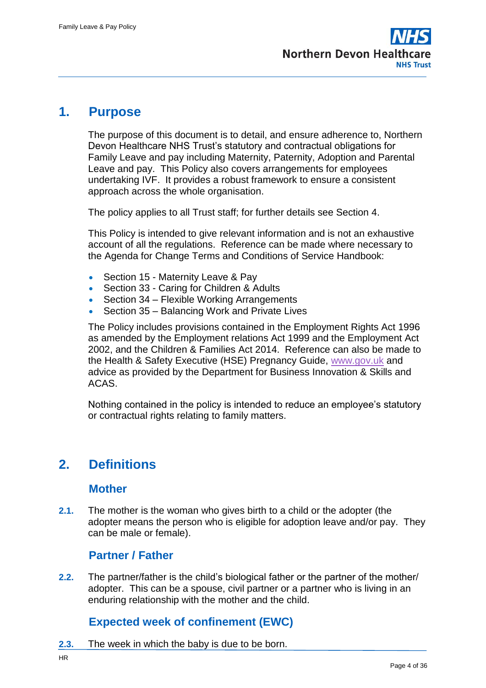# <span id="page-3-0"></span>**1. Purpose**

The purpose of this document is to detail, and ensure adherence to, Northern Devon Healthcare NHS Trust's statutory and contractual obligations for Family Leave and pay including Maternity, Paternity, Adoption and Parental Leave and pay. This Policy also covers arrangements for employees undertaking IVF. It provides a robust framework to ensure a consistent approach across the whole organisation.

The policy applies to all Trust staff; for further details see Section 4.

This Policy is intended to give relevant information and is not an exhaustive account of all the regulations. Reference can be made where necessary to the Agenda for Change Terms and Conditions of Service Handbook:

- Section 15 Maternity Leave & Pay
- Section 33 Caring for Children & Adults
- Section 34 Flexible Working Arrangements
- Section 35 Balancing Work and Private Lives

The Policy includes provisions contained in the Employment Rights Act 1996 as amended by the Employment relations Act 1999 and the Employment Act 2002, and the Children & Families Act 2014. Reference can also be made to the Health & Safety Executive (HSE) Pregnancy Guide, [www.gov.uk](http://www.gov.uk/) and advice as provided by the Department for Business Innovation & Skills and ACAS.

Nothing contained in the policy is intended to reduce an employee's statutory or contractual rights relating to family matters.

# <span id="page-3-1"></span>**2. Definitions**

#### **Mother**

**2.1.** The mother is the woman who gives birth to a child or the adopter (the adopter means the person who is eligible for adoption leave and/or pay. They can be male or female).

#### **Partner / Father**

**2.2.** The partner/father is the child's biological father or the partner of the mother/ adopter. This can be a spouse, civil partner or a partner who is living in an enduring relationship with the mother and the child.

#### **Expected week of confinement (EWC)**

**2.3.** The week in which the baby is due to be born.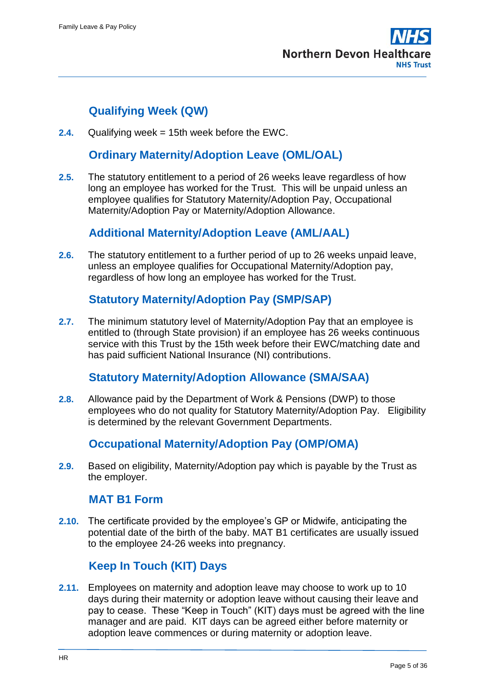# **Qualifying Week (QW)**

**2.4.** Qualifying week = 15th week before the EWC.

#### **Ordinary Maternity/Adoption Leave (OML/OAL)**

**2.5.** The statutory entitlement to a period of 26 weeks leave regardless of how long an employee has worked for the Trust. This will be unpaid unless an employee qualifies for Statutory Maternity/Adoption Pay, Occupational Maternity/Adoption Pay or Maternity/Adoption Allowance.

#### **Additional Maternity/Adoption Leave (AML/AAL)**

**2.6.** The statutory entitlement to a further period of up to 26 weeks unpaid leave, unless an employee qualifies for Occupational Maternity/Adoption pay, regardless of how long an employee has worked for the Trust.

### **Statutory Maternity/Adoption Pay (SMP/SAP)**

**2.7.** The minimum statutory level of Maternity/Adoption Pay that an employee is entitled to (through State provision) if an employee has 26 weeks continuous service with this Trust by the 15th week before their EWC/matching date and has paid sufficient National Insurance (NI) contributions.

#### **Statutory Maternity/Adoption Allowance (SMA/SAA)**

**2.8.** Allowance paid by the Department of Work & Pensions (DWP) to those employees who do not quality for Statutory Maternity/Adoption Pay. Eligibility is determined by the relevant Government Departments.

#### **Occupational Maternity/Adoption Pay (OMP/OMA)**

**2.9.** Based on eligibility, Maternity/Adoption pay which is payable by the Trust as the employer.

#### **MAT B1 Form**

**2.10.** The certificate provided by the employee's GP or Midwife, anticipating the potential date of the birth of the baby. MAT B1 certificates are usually issued to the employee 24-26 weeks into pregnancy.

# **Keep In Touch (KIT) Days**

**2.11.** Employees on maternity and adoption leave may choose to work up to 10 days during their maternity or adoption leave without causing their leave and pay to cease. These "Keep in Touch" (KIT) days must be agreed with the line manager and are paid. KIT days can be agreed either before maternity or adoption leave commences or during maternity or adoption leave.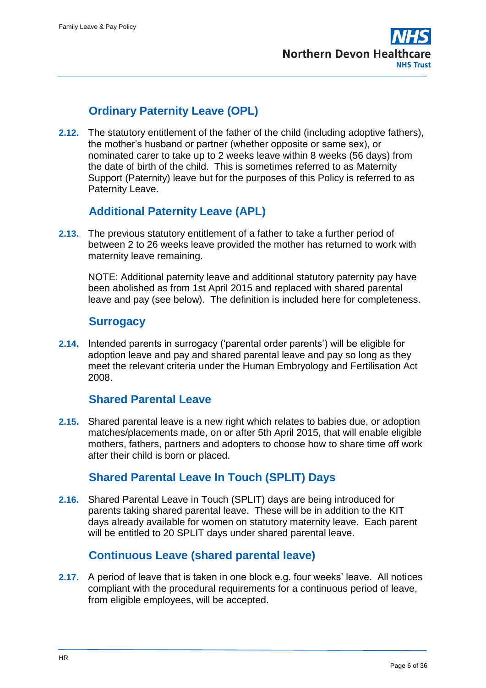# **Ordinary Paternity Leave (OPL)**

**2.12.** The statutory entitlement of the father of the child (including adoptive fathers), the mother's husband or partner (whether opposite or same sex), or nominated carer to take up to 2 weeks leave within 8 weeks (56 days) from the date of birth of the child. This is sometimes referred to as Maternity Support (Paternity) leave but for the purposes of this Policy is referred to as Paternity Leave.

# **Additional Paternity Leave (APL)**

**2.13.** The previous statutory entitlement of a father to take a further period of between 2 to 26 weeks leave provided the mother has returned to work with maternity leave remaining.

NOTE: Additional paternity leave and additional statutory paternity pay have been abolished as from 1st April 2015 and replaced with shared parental leave and pay (see below). The definition is included here for completeness.

#### **Surrogacy**

**2.14.** Intended parents in surrogacy ('parental order parents') will be eligible for adoption leave and pay and shared parental leave and pay so long as they meet the relevant criteria under the Human Embryology and Fertilisation Act 2008.

#### **Shared Parental Leave**

**2.15.** Shared parental leave is a new right which relates to babies due, or adoption matches/placements made, on or after 5th April 2015, that will enable eligible mothers, fathers, partners and adopters to choose how to share time off work after their child is born or placed.

# **Shared Parental Leave In Touch (SPLIT) Days**

**2.16.** Shared Parental Leave in Touch (SPLIT) days are being introduced for parents taking shared parental leave. These will be in addition to the KIT days already available for women on statutory maternity leave. Each parent will be entitled to 20 SPLIT days under shared parental leave.

# **Continuous Leave (shared parental leave)**

**2.17.** A period of leave that is taken in one block e.g. four weeks' leave. All notices compliant with the procedural requirements for a continuous period of leave, from eligible employees, will be accepted.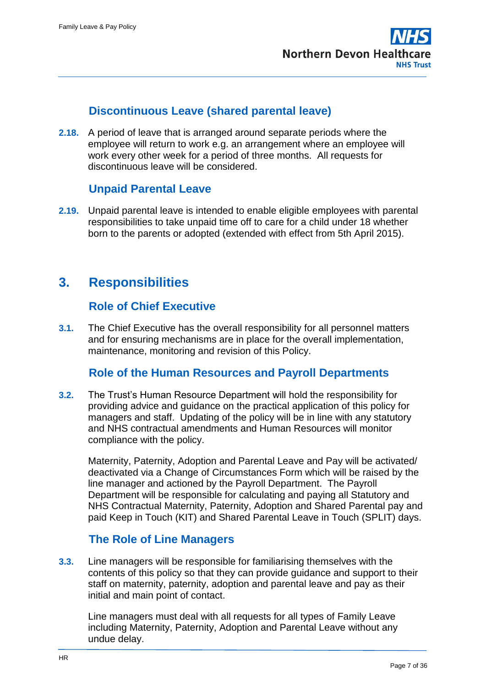

### **Discontinuous Leave (shared parental leave)**

**2.18.** A period of leave that is arranged around separate periods where the employee will return to work e.g. an arrangement where an employee will work every other week for a period of three months. All requests for discontinuous leave will be considered.

### **Unpaid Parental Leave**

**2.19.** Unpaid parental leave is intended to enable eligible employees with parental responsibilities to take unpaid time off to care for a child under 18 whether born to the parents or adopted (extended with effect from 5th April 2015).

# <span id="page-6-0"></span>**3. Responsibilities**

#### **Role of Chief Executive**

**3.1.** The Chief Executive has the overall responsibility for all personnel matters and for ensuring mechanisms are in place for the overall implementation, maintenance, monitoring and revision of this Policy.

#### **Role of the Human Resources and Payroll Departments**

**3.2.** The Trust's Human Resource Department will hold the responsibility for providing advice and guidance on the practical application of this policy for managers and staff. Updating of the policy will be in line with any statutory and NHS contractual amendments and Human Resources will monitor compliance with the policy.

Maternity, Paternity, Adoption and Parental Leave and Pay will be activated/ deactivated via a Change of Circumstances Form which will be raised by the line manager and actioned by the Payroll Department. The Payroll Department will be responsible for calculating and paying all Statutory and NHS Contractual Maternity, Paternity, Adoption and Shared Parental pay and paid Keep in Touch (KIT) and Shared Parental Leave in Touch (SPLIT) days.

# **The Role of Line Managers**

**3.3.** Line managers will be responsible for familiarising themselves with the contents of this policy so that they can provide guidance and support to their staff on maternity, paternity, adoption and parental leave and pay as their initial and main point of contact.

Line managers must deal with all requests for all types of Family Leave including Maternity, Paternity, Adoption and Parental Leave without any undue delay.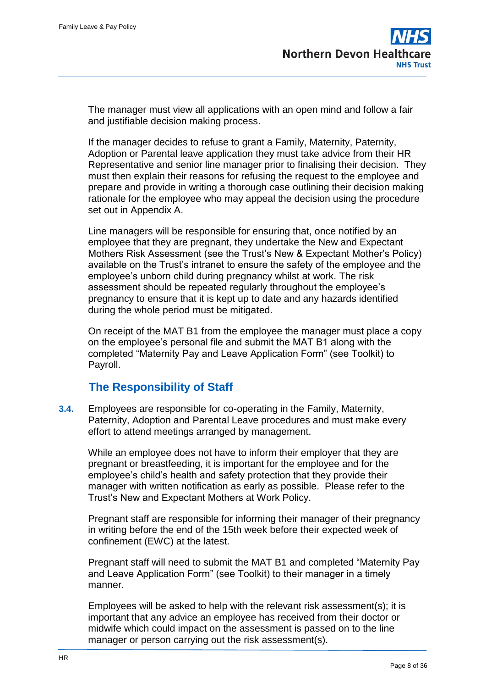The manager must view all applications with an open mind and follow a fair and justifiable decision making process.

If the manager decides to refuse to grant a Family, Maternity, Paternity, Adoption or Parental leave application they must take advice from their HR Representative and senior line manager prior to finalising their decision. They must then explain their reasons for refusing the request to the employee and prepare and provide in writing a thorough case outlining their decision making rationale for the employee who may appeal the decision using the procedure set out in Appendix A.

Line managers will be responsible for ensuring that, once notified by an employee that they are pregnant, they undertake the New and Expectant Mothers Risk Assessment (see the Trust's New & Expectant Mother's Policy) available on the Trust's intranet to ensure the safety of the employee and the employee's unborn child during pregnancy whilst at work. The risk assessment should be repeated regularly throughout the employee's pregnancy to ensure that it is kept up to date and any hazards identified during the whole period must be mitigated.

On receipt of the MAT B1 from the employee the manager must place a copy on the employee's personal file and submit the MAT B1 along with the completed "Maternity Pay and Leave Application Form" (see Toolkit) to Payroll.

# **The Responsibility of Staff**

**3.4.** Employees are responsible for co-operating in the Family, Maternity, Paternity, Adoption and Parental Leave procedures and must make every effort to attend meetings arranged by management.

While an employee does not have to inform their employer that they are pregnant or breastfeeding, it is important for the employee and for the employee's child's health and safety protection that they provide their manager with written notification as early as possible. Please refer to the Trust's New and Expectant Mothers at Work Policy.

Pregnant staff are responsible for informing their manager of their pregnancy in writing before the end of the 15th week before their expected week of confinement (EWC) at the latest.

Pregnant staff will need to submit the MAT B1 and completed "Maternity Pay and Leave Application Form" (see Toolkit) to their manager in a timely manner.

Employees will be asked to help with the relevant risk assessment(s); it is important that any advice an employee has received from their doctor or midwife which could impact on the assessment is passed on to the line manager or person carrying out the risk assessment(s).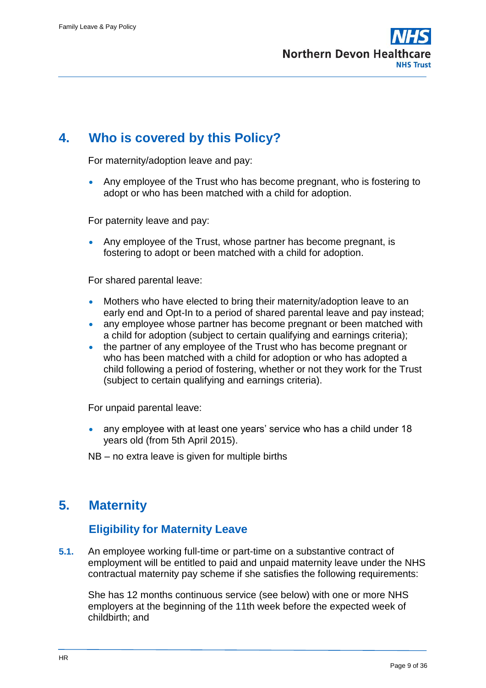# <span id="page-8-0"></span>**4. Who is covered by this Policy?**

For maternity/adoption leave and pay:

 Any employee of the Trust who has become pregnant, who is fostering to adopt or who has been matched with a child for adoption.

For paternity leave and pay:

 Any employee of the Trust, whose partner has become pregnant, is fostering to adopt or been matched with a child for adoption.

For shared parental leave:

- Mothers who have elected to bring their maternity/adoption leave to an early end and Opt-In to a period of shared parental leave and pay instead;
- any employee whose partner has become pregnant or been matched with a child for adoption (subject to certain qualifying and earnings criteria);
- the partner of any employee of the Trust who has become pregnant or who has been matched with a child for adoption or who has adopted a child following a period of fostering, whether or not they work for the Trust (subject to certain qualifying and earnings criteria).

For unpaid parental leave:

 any employee with at least one years' service who has a child under 18 years old (from 5th April 2015).

NB – no extra leave is given for multiple births

# <span id="page-8-1"></span>**5. Maternity**

#### **Eligibility for Maternity Leave**

**5.1.** An employee working full-time or part-time on a substantive contract of employment will be entitled to paid and unpaid maternity leave under the NHS contractual maternity pay scheme if she satisfies the following requirements:

She has 12 months continuous service (see below) with one or more NHS employers at the beginning of the 11th week before the expected week of childbirth; and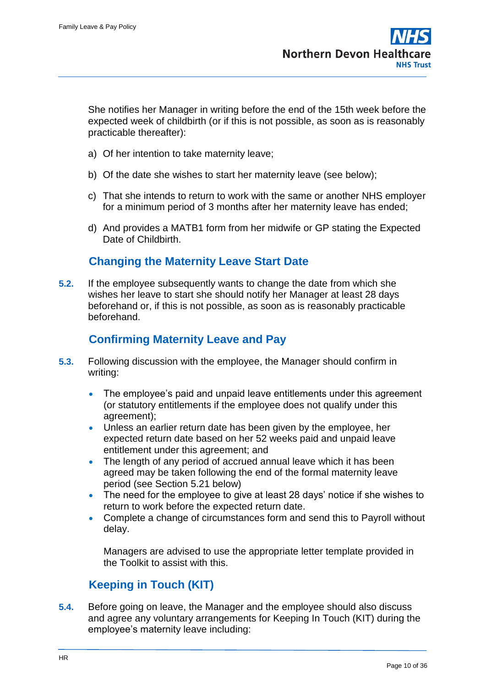She notifies her Manager in writing before the end of the 15th week before the expected week of childbirth (or if this is not possible, as soon as is reasonably practicable thereafter):

- a) Of her intention to take maternity leave;
- b) Of the date she wishes to start her maternity leave (see below);
- c) That she intends to return to work with the same or another NHS employer for a minimum period of 3 months after her maternity leave has ended;
- d) And provides a MATB1 form from her midwife or GP stating the Expected Date of Childbirth.

# **Changing the Maternity Leave Start Date**

**5.2.** If the employee subsequently wants to change the date from which she wishes her leave to start she should notify her Manager at least 28 days beforehand or, if this is not possible, as soon as is reasonably practicable beforehand.

# **Confirming Maternity Leave and Pay**

- **5.3.** Following discussion with the employee, the Manager should confirm in writing:
	- The employee's paid and unpaid leave entitlements under this agreement (or statutory entitlements if the employee does not qualify under this agreement);
	- Unless an earlier return date has been given by the employee, her expected return date based on her 52 weeks paid and unpaid leave entitlement under this agreement; and
	- The length of any period of accrued annual leave which it has been agreed may be taken following the end of the formal maternity leave period (see Section 5.21 below)
	- The need for the employee to give at least 28 days' notice if she wishes to return to work before the expected return date.
	- Complete a change of circumstances form and send this to Payroll without delay.

Managers are advised to use the appropriate letter template provided in the Toolkit to assist with this.

# **Keeping in Touch (KIT)**

**5.4.** Before going on leave, the Manager and the employee should also discuss and agree any voluntary arrangements for Keeping In Touch (KIT) during the employee's maternity leave including: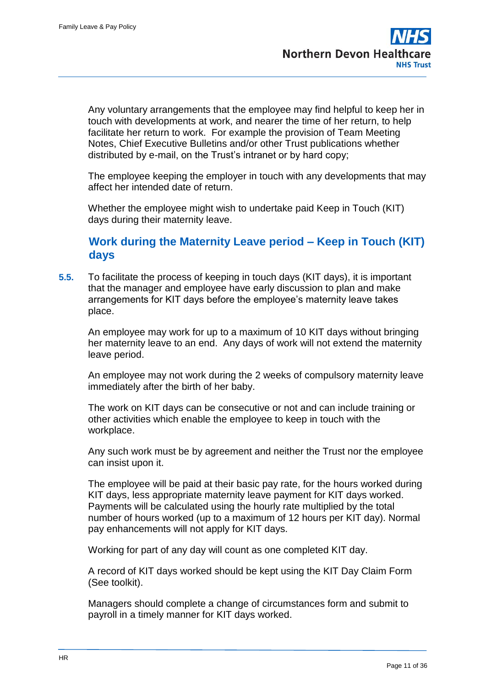Any voluntary arrangements that the employee may find helpful to keep her in touch with developments at work, and nearer the time of her return, to help facilitate her return to work. For example the provision of Team Meeting Notes, Chief Executive Bulletins and/or other Trust publications whether distributed by e-mail, on the Trust's intranet or by hard copy;

The employee keeping the employer in touch with any developments that may affect her intended date of return.

Whether the employee might wish to undertake paid Keep in Touch (KIT) days during their maternity leave.

#### **Work during the Maternity Leave period – Keep in Touch (KIT) days**

**5.5.** To facilitate the process of keeping in touch days (KIT days), it is important that the manager and employee have early discussion to plan and make arrangements for KIT days before the employee's maternity leave takes place.

An employee may work for up to a maximum of 10 KIT days without bringing her maternity leave to an end. Any days of work will not extend the maternity leave period.

An employee may not work during the 2 weeks of compulsory maternity leave immediately after the birth of her baby.

The work on KIT days can be consecutive or not and can include training or other activities which enable the employee to keep in touch with the workplace.

Any such work must be by agreement and neither the Trust nor the employee can insist upon it.

The employee will be paid at their basic pay rate, for the hours worked during KIT days, less appropriate maternity leave payment for KIT days worked. Payments will be calculated using the hourly rate multiplied by the total number of hours worked (up to a maximum of 12 hours per KIT day). Normal pay enhancements will not apply for KIT days.

Working for part of any day will count as one completed KIT day.

A record of KIT days worked should be kept using the KIT Day Claim Form (See toolkit).

Managers should complete a change of circumstances form and submit to payroll in a timely manner for KIT days worked.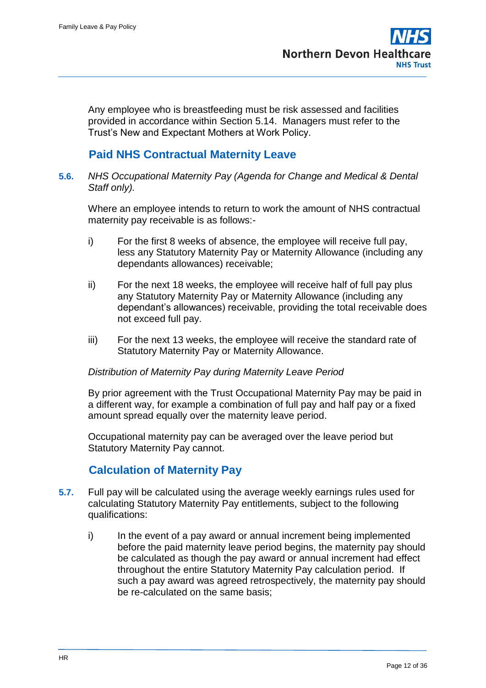Any employee who is breastfeeding must be risk assessed and facilities provided in accordance within Section 5.14. Managers must refer to the Trust's New and Expectant Mothers at Work Policy.

### **Paid NHS Contractual Maternity Leave**

**5.6.** *NHS Occupational Maternity Pay (Agenda for Change and Medical & Dental Staff only).*

Where an employee intends to return to work the amount of NHS contractual maternity pay receivable is as follows:-

- i) For the first 8 weeks of absence, the employee will receive full pay, less any Statutory Maternity Pay or Maternity Allowance (including any dependants allowances) receivable;
- ii) For the next 18 weeks, the employee will receive half of full pay plus any Statutory Maternity Pay or Maternity Allowance (including any dependant's allowances) receivable, providing the total receivable does not exceed full pay.
- iii) For the next 13 weeks, the employee will receive the standard rate of Statutory Maternity Pay or Maternity Allowance.

#### *Distribution of Maternity Pay during Maternity Leave Period*

By prior agreement with the Trust Occupational Maternity Pay may be paid in a different way, for example a combination of full pay and half pay or a fixed amount spread equally over the maternity leave period.

Occupational maternity pay can be averaged over the leave period but Statutory Maternity Pay cannot.

#### **Calculation of Maternity Pay**

- **5.7.** Full pay will be calculated using the average weekly earnings rules used for calculating Statutory Maternity Pay entitlements, subject to the following qualifications:
	- i) In the event of a pay award or annual increment being implemented before the paid maternity leave period begins, the maternity pay should be calculated as though the pay award or annual increment had effect throughout the entire Statutory Maternity Pay calculation period. If such a pay award was agreed retrospectively, the maternity pay should be re-calculated on the same basis;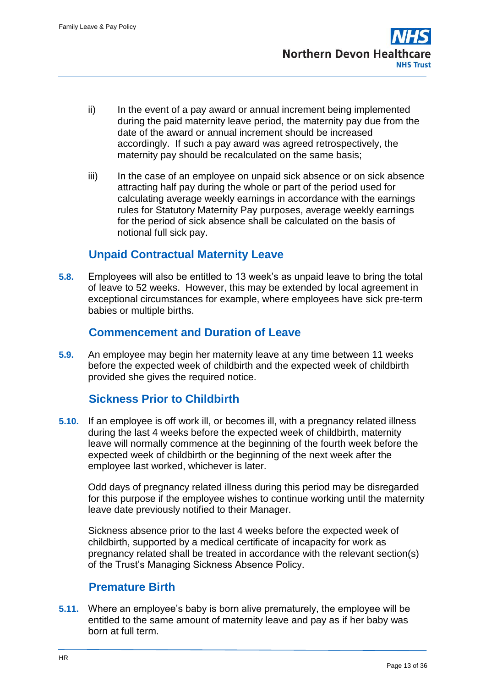- ii) In the event of a pay award or annual increment being implemented during the paid maternity leave period, the maternity pay due from the date of the award or annual increment should be increased accordingly. If such a pay award was agreed retrospectively, the maternity pay should be recalculated on the same basis;
- iii) In the case of an employee on unpaid sick absence or on sick absence attracting half pay during the whole or part of the period used for calculating average weekly earnings in accordance with the earnings rules for Statutory Maternity Pay purposes, average weekly earnings for the period of sick absence shall be calculated on the basis of notional full sick pay.

# **Unpaid Contractual Maternity Leave**

**5.8.** Employees will also be entitled to 13 week's as unpaid leave to bring the total of leave to 52 weeks. However, this may be extended by local agreement in exceptional circumstances for example, where employees have sick pre-term babies or multiple births.

# **Commencement and Duration of Leave**

**5.9.** An employee may begin her maternity leave at any time between 11 weeks before the expected week of childbirth and the expected week of childbirth provided she gives the required notice.

# **Sickness Prior to Childbirth**

**5.10.** If an employee is off work ill, or becomes ill, with a pregnancy related illness during the last 4 weeks before the expected week of childbirth, maternity leave will normally commence at the beginning of the fourth week before the expected week of childbirth or the beginning of the next week after the employee last worked, whichever is later.

Odd days of pregnancy related illness during this period may be disregarded for this purpose if the employee wishes to continue working until the maternity leave date previously notified to their Manager.

Sickness absence prior to the last 4 weeks before the expected week of childbirth, supported by a medical certificate of incapacity for work as pregnancy related shall be treated in accordance with the relevant section(s) of the Trust's Managing Sickness Absence Policy.

#### **Premature Birth**

**5.11.** Where an employee's baby is born alive prematurely, the employee will be entitled to the same amount of maternity leave and pay as if her baby was born at full term.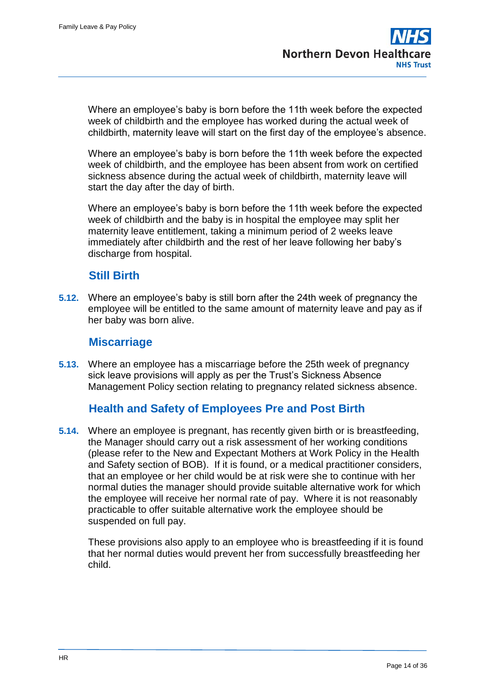Where an employee's baby is born before the 11th week before the expected week of childbirth and the employee has worked during the actual week of childbirth, maternity leave will start on the first day of the employee's absence.

Where an employee's baby is born before the 11th week before the expected week of childbirth, and the employee has been absent from work on certified sickness absence during the actual week of childbirth, maternity leave will start the day after the day of birth.

Where an employee's baby is born before the 11th week before the expected week of childbirth and the baby is in hospital the employee may split her maternity leave entitlement, taking a minimum period of 2 weeks leave immediately after childbirth and the rest of her leave following her baby's discharge from hospital.

#### **Still Birth**

**5.12.** Where an employee's baby is still born after the 24th week of pregnancy the employee will be entitled to the same amount of maternity leave and pay as if her baby was born alive.

#### **Miscarriage**

**5.13.** Where an employee has a miscarriage before the 25th week of pregnancy sick leave provisions will apply as per the Trust's Sickness Absence Management Policy section relating to pregnancy related sickness absence.

# **Health and Safety of Employees Pre and Post Birth**

**5.14.** Where an employee is pregnant, has recently given birth or is breastfeeding, the Manager should carry out a risk assessment of her working conditions (please refer to the New and Expectant Mothers at Work Policy in the Health and Safety section of BOB). If it is found, or a medical practitioner considers, that an employee or her child would be at risk were she to continue with her normal duties the manager should provide suitable alternative work for which the employee will receive her normal rate of pay. Where it is not reasonably practicable to offer suitable alternative work the employee should be suspended on full pay.

These provisions also apply to an employee who is breastfeeding if it is found that her normal duties would prevent her from successfully breastfeeding her child.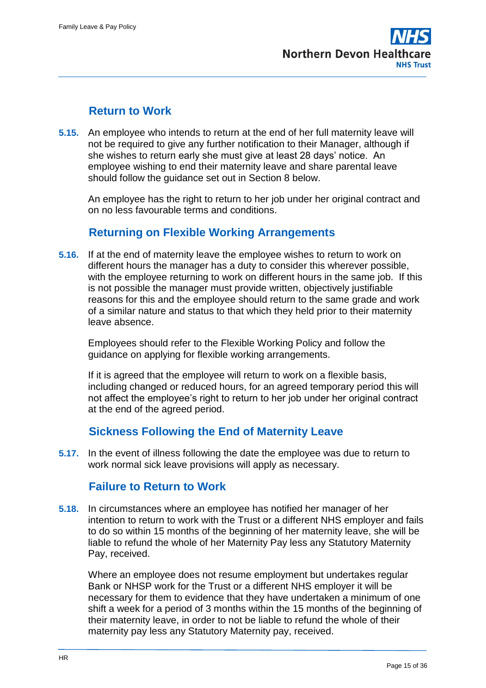# **Return to Work**

**5.15.** An employee who intends to return at the end of her full maternity leave will not be required to give any further notification to their Manager, although if she wishes to return early she must give at least 28 days' notice. An employee wishing to end their maternity leave and share parental leave should follow the guidance set out in Section 8 below.

An employee has the right to return to her job under her original contract and on no less favourable terms and conditions.

# **Returning on Flexible Working Arrangements**

**5.16.** If at the end of maternity leave the employee wishes to return to work on different hours the manager has a duty to consider this wherever possible, with the employee returning to work on different hours in the same job. If this is not possible the manager must provide written, objectively justifiable reasons for this and the employee should return to the same grade and work of a similar nature and status to that which they held prior to their maternity leave absence.

Employees should refer to the Flexible Working Policy and follow the guidance on applying for flexible working arrangements.

If it is agreed that the employee will return to work on a flexible basis, including changed or reduced hours, for an agreed temporary period this will not affect the employee's right to return to her job under her original contract at the end of the agreed period.

# **Sickness Following the End of Maternity Leave**

**5.17.** In the event of illness following the date the employee was due to return to work normal sick leave provisions will apply as necessary.

# **Failure to Return to Work**

**5.18.** In circumstances where an employee has notified her manager of her intention to return to work with the Trust or a different NHS employer and fails to do so within 15 months of the beginning of her maternity leave, she will be liable to refund the whole of her Maternity Pay less any Statutory Maternity Pay, received.

Where an employee does not resume employment but undertakes regular Bank or NHSP work for the Trust or a different NHS employer it will be necessary for them to evidence that they have undertaken a minimum of one shift a week for a period of 3 months within the 15 months of the beginning of their maternity leave, in order to not be liable to refund the whole of their maternity pay less any Statutory Maternity pay, received.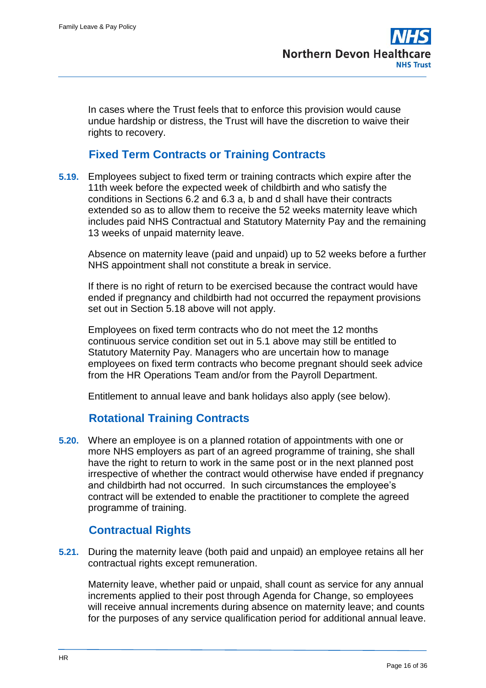In cases where the Trust feels that to enforce this provision would cause undue hardship or distress, the Trust will have the discretion to waive their rights to recovery.

# **Fixed Term Contracts or Training Contracts**

**5.19.** Employees subject to fixed term or training contracts which expire after the 11th week before the expected week of childbirth and who satisfy the conditions in Sections 6.2 and 6.3 a, b and d shall have their contracts extended so as to allow them to receive the 52 weeks maternity leave which includes paid NHS Contractual and Statutory Maternity Pay and the remaining 13 weeks of unpaid maternity leave.

Absence on maternity leave (paid and unpaid) up to 52 weeks before a further NHS appointment shall not constitute a break in service.

If there is no right of return to be exercised because the contract would have ended if pregnancy and childbirth had not occurred the repayment provisions set out in Section 5.18 above will not apply.

Employees on fixed term contracts who do not meet the 12 months continuous service condition set out in 5.1 above may still be entitled to Statutory Maternity Pay. Managers who are uncertain how to manage employees on fixed term contracts who become pregnant should seek advice from the HR Operations Team and/or from the Payroll Department.

Entitlement to annual leave and bank holidays also apply (see below).

#### **Rotational Training Contracts**

**5.20.** Where an employee is on a planned rotation of appointments with one or more NHS employers as part of an agreed programme of training, she shall have the right to return to work in the same post or in the next planned post irrespective of whether the contract would otherwise have ended if pregnancy and childbirth had not occurred. In such circumstances the employee's contract will be extended to enable the practitioner to complete the agreed programme of training.

# **Contractual Rights**

**5.21.** During the maternity leave (both paid and unpaid) an employee retains all her contractual rights except remuneration.

Maternity leave, whether paid or unpaid, shall count as service for any annual increments applied to their post through Agenda for Change, so employees will receive annual increments during absence on maternity leave; and counts for the purposes of any service qualification period for additional annual leave.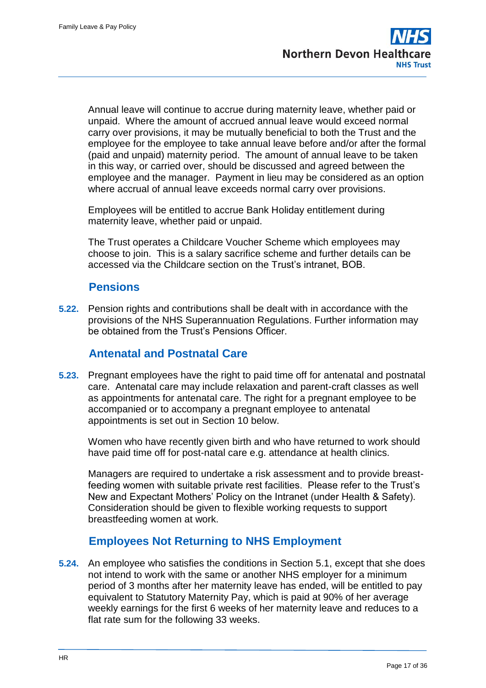Annual leave will continue to accrue during maternity leave, whether paid or unpaid. Where the amount of accrued annual leave would exceed normal carry over provisions, it may be mutually beneficial to both the Trust and the employee for the employee to take annual leave before and/or after the formal (paid and unpaid) maternity period. The amount of annual leave to be taken in this way, or carried over, should be discussed and agreed between the employee and the manager. Payment in lieu may be considered as an option where accrual of annual leave exceeds normal carry over provisions.

Employees will be entitled to accrue Bank Holiday entitlement during maternity leave, whether paid or unpaid.

The Trust operates a Childcare Voucher Scheme which employees may choose to join. This is a salary sacrifice scheme and further details can be accessed via the Childcare section on the Trust's intranet, BOB.

# **Pensions**

**5.22.** Pension rights and contributions shall be dealt with in accordance with the provisions of the NHS Superannuation Regulations. Further information may be obtained from the Trust's Pensions Officer.

# **Antenatal and Postnatal Care**

**5.23.** Pregnant employees have the right to paid time off for antenatal and postnatal care. Antenatal care may include relaxation and parent-craft classes as well as appointments for antenatal care. The right for a pregnant employee to be accompanied or to accompany a pregnant employee to antenatal appointments is set out in Section 10 below.

Women who have recently given birth and who have returned to work should have paid time off for post-natal care e.g. attendance at health clinics.

Managers are required to undertake a risk assessment and to provide breastfeeding women with suitable private rest facilities. Please refer to the Trust's New and Expectant Mothers' Policy on the Intranet (under Health & Safety). Consideration should be given to flexible working requests to support breastfeeding women at work.

# **Employees Not Returning to NHS Employment**

**5.24.** An employee who satisfies the conditions in Section 5.1, except that she does not intend to work with the same or another NHS employer for a minimum period of 3 months after her maternity leave has ended, will be entitled to pay equivalent to Statutory Maternity Pay, which is paid at 90% of her average weekly earnings for the first 6 weeks of her maternity leave and reduces to a flat rate sum for the following 33 weeks.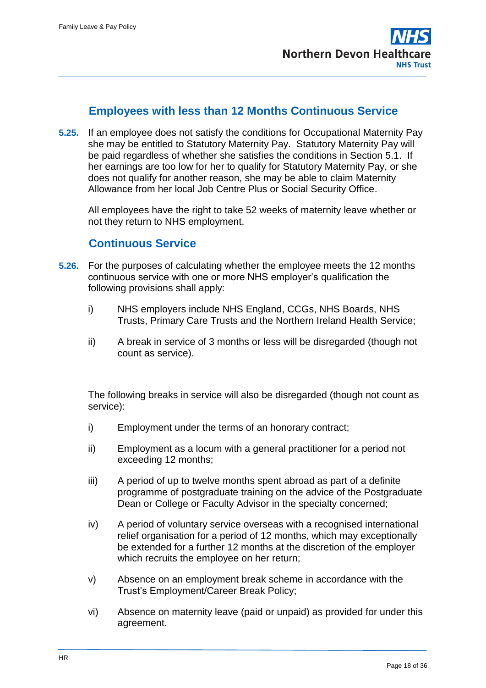### **Employees with less than 12 Months Continuous Service**

**5.25.** If an employee does not satisfy the conditions for Occupational Maternity Pay she may be entitled to Statutory Maternity Pay. Statutory Maternity Pay will be paid regardless of whether she satisfies the conditions in Section 5.1. If her earnings are too low for her to qualify for Statutory Maternity Pay, or she does not qualify for another reason, she may be able to claim Maternity Allowance from her local Job Centre Plus or Social Security Office.

All employees have the right to take 52 weeks of maternity leave whether or not they return to NHS employment.

#### **Continuous Service**

- **5.26.** For the purposes of calculating whether the employee meets the 12 months continuous service with one or more NHS employer's qualification the following provisions shall apply:
	- i) NHS employers include NHS England, CCGs, NHS Boards, NHS Trusts, Primary Care Trusts and the Northern Ireland Health Service;
	- ii) A break in service of 3 months or less will be disregarded (though not count as service).

The following breaks in service will also be disregarded (though not count as service):

- i) Employment under the terms of an honorary contract;
- ii) Employment as a locum with a general practitioner for a period not exceeding 12 months;
- iii) A period of up to twelve months spent abroad as part of a definite programme of postgraduate training on the advice of the Postgraduate Dean or College or Faculty Advisor in the specialty concerned;
- iv) A period of voluntary service overseas with a recognised international relief organisation for a period of 12 months, which may exceptionally be extended for a further 12 months at the discretion of the employer which recruits the employee on her return;
- v) Absence on an employment break scheme in accordance with the Trust's Employment/Career Break Policy;
- vi) Absence on maternity leave (paid or unpaid) as provided for under this agreement.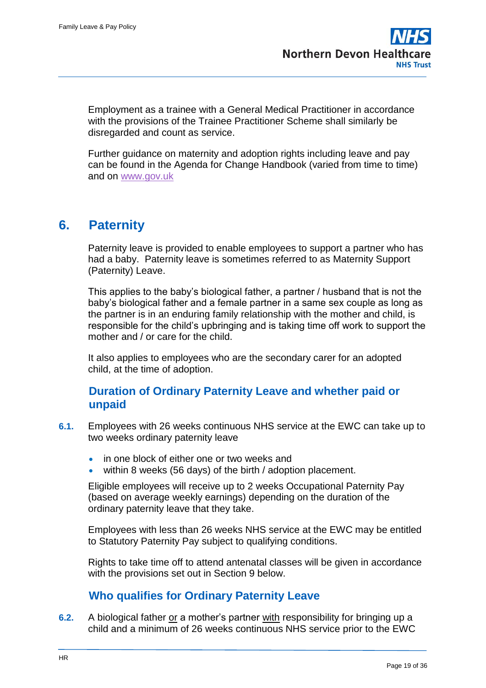Employment as a trainee with a General Medical Practitioner in accordance with the provisions of the Trainee Practitioner Scheme shall similarly be disregarded and count as service.

Further guidance on maternity and adoption rights including leave and pay can be found in the Agenda for Change Handbook (varied from time to time) and on [www.gov.uk](http://www.gov.uk/)

# <span id="page-18-0"></span>**6. Paternity**

Paternity leave is provided to enable employees to support a partner who has had a baby. Paternity leave is sometimes referred to as Maternity Support (Paternity) Leave.

This applies to the baby's biological father, a partner / husband that is not the baby's biological father and a female partner in a same sex couple as long as the partner is in an enduring family relationship with the mother and child, is responsible for the child's upbringing and is taking time off work to support the mother and / or care for the child.

It also applies to employees who are the secondary carer for an adopted child, at the time of adoption.

### **Duration of Ordinary Paternity Leave and whether paid or unpaid**

- **6.1.** Employees with 26 weeks continuous NHS service at the EWC can take up to two weeks ordinary paternity leave
	- in one block of either one or two weeks and
	- within 8 weeks (56 days) of the birth / adoption placement.

Eligible employees will receive up to 2 weeks Occupational Paternity Pay (based on average weekly earnings) depending on the duration of the ordinary paternity leave that they take.

Employees with less than 26 weeks NHS service at the EWC may be entitled to Statutory Paternity Pay subject to qualifying conditions.

Rights to take time off to attend antenatal classes will be given in accordance with the provisions set out in Section 9 below.

# **Who qualifies for Ordinary Paternity Leave**

**6.2.** A biological father or a mother's partner with responsibility for bringing up a child and a minimum of 26 weeks continuous NHS service prior to the EWC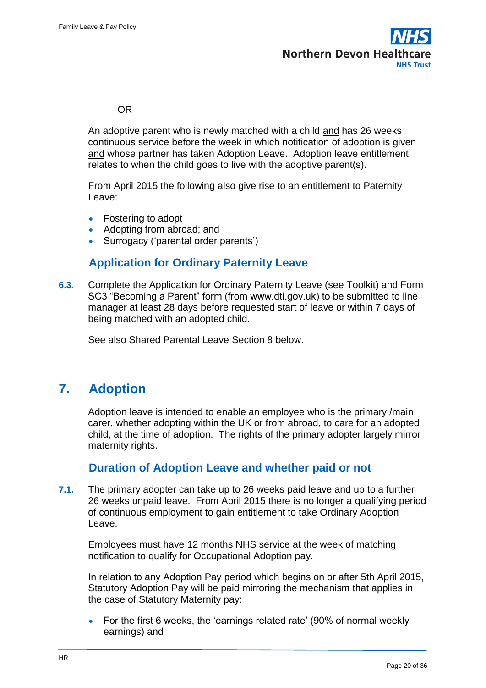#### OR

An adoptive parent who is newly matched with a child and has 26 weeks continuous service before the week in which notification of adoption is given and whose partner has taken Adoption Leave. Adoption leave entitlement relates to when the child goes to live with the adoptive parent(s).

From April 2015 the following also give rise to an entitlement to Paternity Leave:

- Fostering to adopt
- Adopting from abroad; and
- Surrogacy ('parental order parents')

### **Application for Ordinary Paternity Leave**

**6.3.** Complete the Application for Ordinary Paternity Leave (see Toolkit) and Form SC3 "Becoming a Parent" form (from www.dti.gov.uk) to be submitted to line manager at least 28 days before requested start of leave or within 7 days of being matched with an adopted child.

See also Shared Parental Leave Section 8 below.

# <span id="page-19-0"></span>**7. Adoption**

Adoption leave is intended to enable an employee who is the primary /main carer, whether adopting within the UK or from abroad, to care for an adopted child, at the time of adoption. The rights of the primary adopter largely mirror maternity rights.

#### **Duration of Adoption Leave and whether paid or not**

**7.1.** The primary adopter can take up to 26 weeks paid leave and up to a further 26 weeks unpaid leave. From April 2015 there is no longer a qualifying period of continuous employment to gain entitlement to take Ordinary Adoption Leave.

Employees must have 12 months NHS service at the week of matching notification to qualify for Occupational Adoption pay.

In relation to any Adoption Pay period which begins on or after 5th April 2015, Statutory Adoption Pay will be paid mirroring the mechanism that applies in the case of Statutory Maternity pay:

• For the first 6 weeks, the 'earnings related rate' (90% of normal weekly earnings) and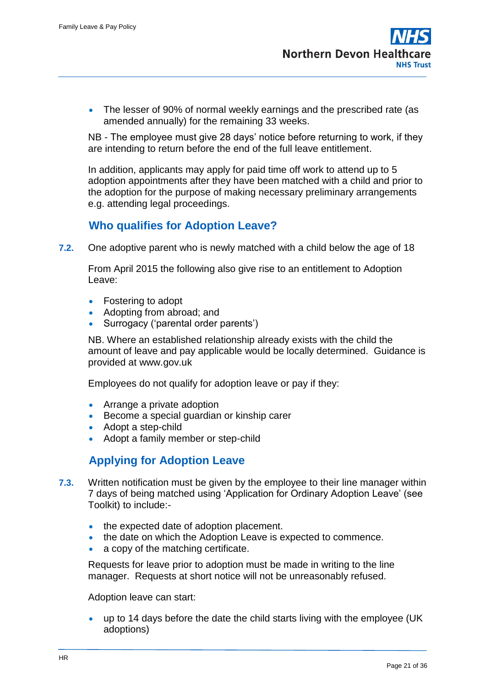• The lesser of 90% of normal weekly earnings and the prescribed rate (as amended annually) for the remaining 33 weeks.

NB - The employee must give 28 days' notice before returning to work, if they are intending to return before the end of the full leave entitlement.

In addition, applicants may apply for paid time off work to attend up to 5 adoption appointments after they have been matched with a child and prior to the adoption for the purpose of making necessary preliminary arrangements e.g. attending legal proceedings.

# **Who qualifies for Adoption Leave?**

**7.2.** One adoptive parent who is newly matched with a child below the age of 18

From April 2015 the following also give rise to an entitlement to Adoption Leave:

- Fostering to adopt
- Adopting from abroad; and
- Surrogacy ('parental order parents')

NB. Where an established relationship already exists with the child the amount of leave and pay applicable would be locally determined. Guidance is provided at www.gov.uk

Employees do not qualify for adoption leave or pay if they:

- Arrange a private adoption
- **Become a special quardian or kinship carer**
- Adopt a step-child
- Adopt a family member or step-child

#### **Applying for Adoption Leave**

- **7.3.** Written notification must be given by the employee to their line manager within 7 days of being matched using 'Application for Ordinary Adoption Leave' (see Toolkit) to include:-
	- the expected date of adoption placement.
	- the date on which the Adoption Leave is expected to commence.
	- a copy of the matching certificate.

Requests for leave prior to adoption must be made in writing to the line manager. Requests at short notice will not be unreasonably refused.

Adoption leave can start:

 up to 14 days before the date the child starts living with the employee (UK adoptions)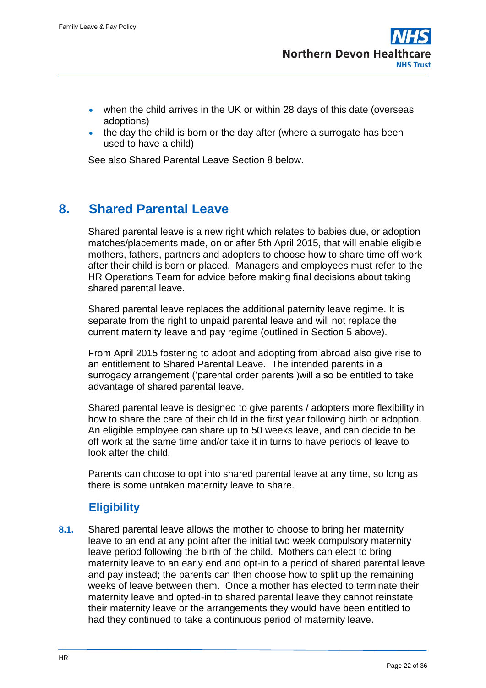- when the child arrives in the UK or within 28 days of this date (overseas adoptions)
- the day the child is born or the day after (where a surrogate has been used to have a child)

See also Shared Parental Leave Section 8 below.

# <span id="page-21-0"></span>**8. Shared Parental Leave**

Shared parental leave is a new right which relates to babies due, or adoption matches/placements made, on or after 5th April 2015, that will enable eligible mothers, fathers, partners and adopters to choose how to share time off work after their child is born or placed. Managers and employees must refer to the HR Operations Team for advice before making final decisions about taking shared parental leave.

Shared parental leave replaces the additional paternity leave regime. It is separate from the right to unpaid parental leave and will not replace the current maternity leave and pay regime (outlined in Section 5 above).

From April 2015 fostering to adopt and adopting from abroad also give rise to an entitlement to Shared Parental Leave. The intended parents in a surrogacy arrangement ('parental order parents')will also be entitled to take advantage of shared parental leave.

Shared parental leave is designed to give parents / adopters more flexibility in how to share the care of their child in the first year following birth or adoption. An eligible employee can share up to 50 weeks leave, and can decide to be off work at the same time and/or take it in turns to have periods of leave to look after the child.

Parents can choose to opt into shared parental leave at any time, so long as there is some untaken maternity leave to share.

# **Eligibility**

**8.1.** Shared parental leave allows the mother to choose to bring her maternity leave to an end at any point after the initial two week compulsory maternity leave period following the birth of the child. Mothers can elect to bring maternity leave to an early end and opt-in to a period of shared parental leave and pay instead; the parents can then choose how to split up the remaining weeks of leave between them. Once a mother has elected to terminate their maternity leave and opted-in to shared parental leave they cannot reinstate their maternity leave or the arrangements they would have been entitled to had they continued to take a continuous period of maternity leave.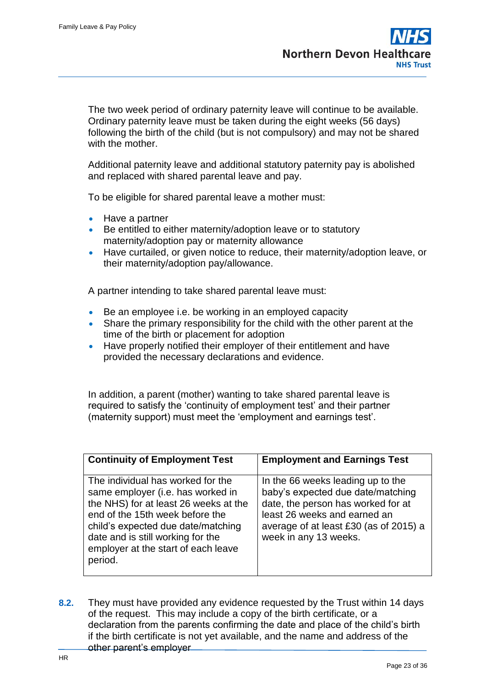The two week period of ordinary paternity leave will continue to be available. Ordinary paternity leave must be taken during the eight weeks (56 days) following the birth of the child (but is not compulsory) and may not be shared with the mother.

Additional paternity leave and additional statutory paternity pay is abolished and replaced with shared parental leave and pay.

To be eligible for shared parental leave a mother must:

- Have a partner
- Be entitled to either maternity/adoption leave or to statutory maternity/adoption pay or maternity allowance
- Have curtailed, or given notice to reduce, their maternity/adoption leave, or their maternity/adoption pay/allowance.

A partner intending to take shared parental leave must:

- Be an employee i.e. be working in an employed capacity
- Share the primary responsibility for the child with the other parent at the time of the birth or placement for adoption
- Have properly notified their employer of their entitlement and have provided the necessary declarations and evidence.

In addition, a parent (mother) wanting to take shared parental leave is required to satisfy the 'continuity of employment test' and their partner (maternity support) must meet the 'employment and earnings test'.

| <b>Continuity of Employment Test</b>                                                                                                                                                                                                                                            | <b>Employment and Earnings Test</b>                                                                                                                                                                             |
|---------------------------------------------------------------------------------------------------------------------------------------------------------------------------------------------------------------------------------------------------------------------------------|-----------------------------------------------------------------------------------------------------------------------------------------------------------------------------------------------------------------|
| The individual has worked for the<br>same employer (i.e. has worked in<br>the NHS) for at least 26 weeks at the<br>end of the 15th week before the<br>child's expected due date/matching<br>date and is still working for the<br>employer at the start of each leave<br>period. | In the 66 weeks leading up to the<br>baby's expected due date/matching<br>date, the person has worked for at<br>least 26 weeks and earned an<br>average of at least £30 (as of 2015) a<br>week in any 13 weeks. |

**8.2.** They must have provided any evidence requested by the Trust within 14 days of the request. This may include a copy of the birth certificate, or a declaration from the parents confirming the date and place of the child's birth if the birth certificate is not yet available, and the name and address of the other parent's employer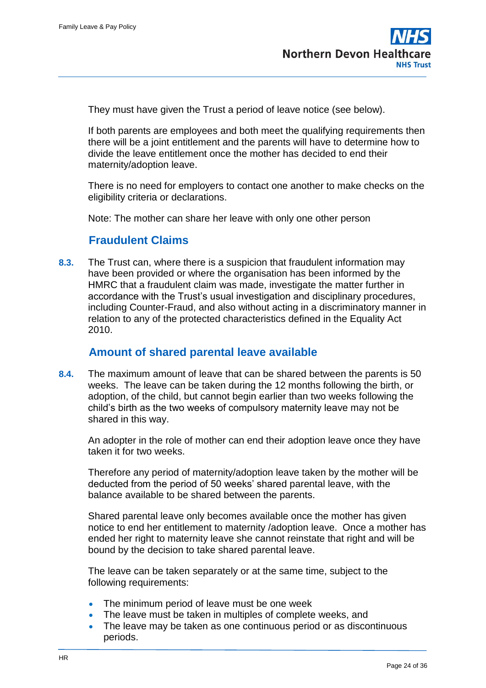They must have given the Trust a period of leave notice (see below).

If both parents are employees and both meet the qualifying requirements then there will be a joint entitlement and the parents will have to determine how to divide the leave entitlement once the mother has decided to end their maternity/adoption leave.

There is no need for employers to contact one another to make checks on the eligibility criteria or declarations.

Note: The mother can share her leave with only one other person

### **Fraudulent Claims**

**8.3.** The Trust can, where there is a suspicion that fraudulent information may have been provided or where the organisation has been informed by the HMRC that a fraudulent claim was made, investigate the matter further in accordance with the Trust's usual investigation and disciplinary procedures, including Counter-Fraud, and also without acting in a discriminatory manner in relation to any of the protected characteristics defined in the Equality Act 2010.

#### **Amount of shared parental leave available**

**8.4.** The maximum amount of leave that can be shared between the parents is 50 weeks. The leave can be taken during the 12 months following the birth, or adoption, of the child, but cannot begin earlier than two weeks following the child's birth as the two weeks of compulsory maternity leave may not be shared in this way.

An adopter in the role of mother can end their adoption leave once they have taken it for two weeks.

Therefore any period of maternity/adoption leave taken by the mother will be deducted from the period of 50 weeks' shared parental leave, with the balance available to be shared between the parents.

Shared parental leave only becomes available once the mother has given notice to end her entitlement to maternity /adoption leave. Once a mother has ended her right to maternity leave she cannot reinstate that right and will be bound by the decision to take shared parental leave.

The leave can be taken separately or at the same time, subject to the following requirements:

- The minimum period of leave must be one week
- The leave must be taken in multiples of complete weeks, and
- The leave may be taken as one continuous period or as discontinuous periods.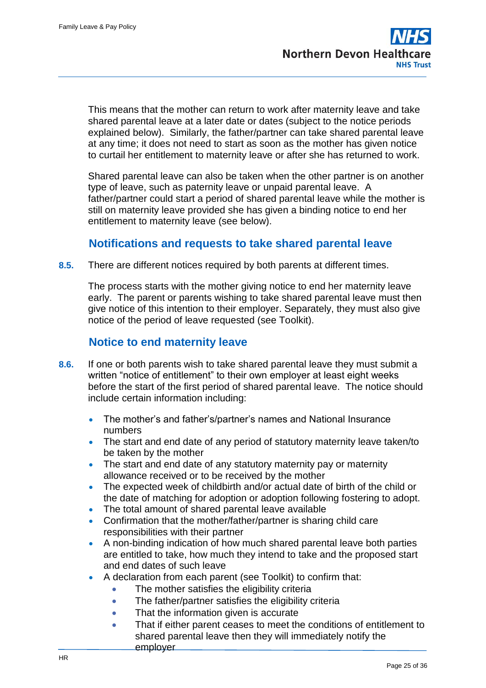This means that the mother can return to work after maternity leave and take shared parental leave at a later date or dates (subject to the notice periods explained below). Similarly, the father/partner can take shared parental leave at any time; it does not need to start as soon as the mother has given notice to curtail her entitlement to maternity leave or after she has returned to work.

Shared parental leave can also be taken when the other partner is on another type of leave, such as paternity leave or unpaid parental leave. A father/partner could start a period of shared parental leave while the mother is still on maternity leave provided she has given a binding notice to end her entitlement to maternity leave (see below).

#### **Notifications and requests to take shared parental leave**

**8.5.** There are different notices required by both parents at different times.

The process starts with the mother giving notice to end her maternity leave early. The parent or parents wishing to take shared parental leave must then give notice of this intention to their employer. Separately, they must also give notice of the period of leave requested (see Toolkit).

#### **Notice to end maternity leave**

- **8.6.** If one or both parents wish to take shared parental leave they must submit a written "notice of entitlement" to their own employer at least eight weeks before the start of the first period of shared parental leave. The notice should include certain information including:
	- The mother's and father's/partner's names and National Insurance numbers
	- The start and end date of any period of statutory maternity leave taken/to be taken by the mother
	- The start and end date of any statutory maternity pay or maternity allowance received or to be received by the mother
	- The expected week of childbirth and/or actual date of birth of the child or the date of matching for adoption or adoption following fostering to adopt.
	- The total amount of shared parental leave available
	- Confirmation that the mother/father/partner is sharing child care responsibilities with their partner
	- A non-binding indication of how much shared parental leave both parties are entitled to take, how much they intend to take and the proposed start and end dates of such leave
	- A declaration from each parent (see Toolkit) to confirm that:
		- The mother satisfies the eligibility criteria
		- The father/partner satisfies the eligibility criteria
		- That the information given is accurate
		- That if either parent ceases to meet the conditions of entitlement to shared parental leave then they will immediately notify the employer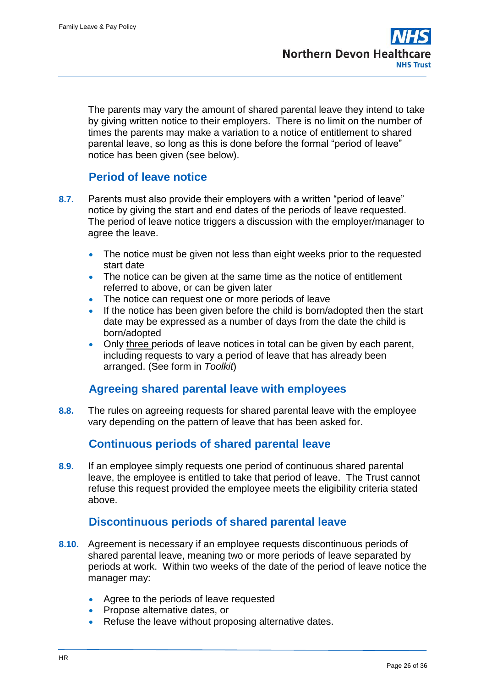The parents may vary the amount of shared parental leave they intend to take by giving written notice to their employers. There is no limit on the number of times the parents may make a variation to a notice of entitlement to shared parental leave, so long as this is done before the formal "period of leave" notice has been given (see below).

# **Period of leave notice**

- **8.7.** Parents must also provide their employers with a written "period of leave" notice by giving the start and end dates of the periods of leave requested. The period of leave notice triggers a discussion with the employer/manager to agree the leave.
	- The notice must be given not less than eight weeks prior to the requested start date
	- The notice can be given at the same time as the notice of entitlement referred to above, or can be given later
	- The notice can request one or more periods of leave
	- If the notice has been given before the child is born/adopted then the start date may be expressed as a number of days from the date the child is born/adopted
	- Only three periods of leave notices in total can be given by each parent, including requests to vary a period of leave that has already been arranged. (See form in *Toolkit*)

#### **Agreeing shared parental leave with employees**

**8.8.** The rules on agreeing requests for shared parental leave with the employee vary depending on the pattern of leave that has been asked for.

# **Continuous periods of shared parental leave**

**8.9.** If an employee simply requests one period of continuous shared parental leave, the employee is entitled to take that period of leave. The Trust cannot refuse this request provided the employee meets the eligibility criteria stated above.

#### **Discontinuous periods of shared parental leave**

- **8.10.** Agreement is necessary if an employee requests discontinuous periods of shared parental leave, meaning two or more periods of leave separated by periods at work. Within two weeks of the date of the period of leave notice the manager may:
	- Agree to the periods of leave requested
	- Propose alternative dates, or
	- Refuse the leave without proposing alternative dates.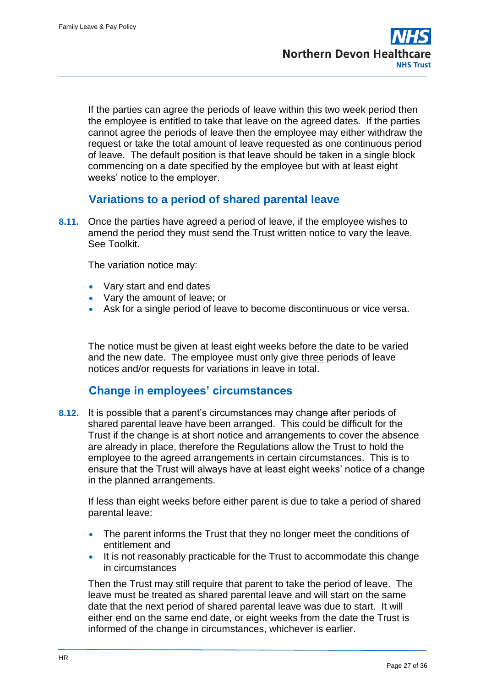If the parties can agree the periods of leave within this two week period then the employee is entitled to take that leave on the agreed dates. If the parties cannot agree the periods of leave then the employee may either withdraw the request or take the total amount of leave requested as one continuous period of leave. The default position is that leave should be taken in a single block commencing on a date specified by the employee but with at least eight weeks' notice to the employer.

### **Variations to a period of shared parental leave**

**8.11.** Once the parties have agreed a period of leave, if the employee wishes to amend the period they must send the Trust written notice to vary the leave. See Toolkit.

The variation notice may:

- Vary start and end dates
- Vary the amount of leave; or
- Ask for a single period of leave to become discontinuous or vice versa.

The notice must be given at least eight weeks before the date to be varied and the new date. The employee must only give three periods of leave notices and/or requests for variations in leave in total.

#### **Change in employees' circumstances**

**8.12.** It is possible that a parent's circumstances may change after periods of shared parental leave have been arranged. This could be difficult for the Trust if the change is at short notice and arrangements to cover the absence are already in place, therefore the Regulations allow the Trust to hold the employee to the agreed arrangements in certain circumstances. This is to ensure that the Trust will always have at least eight weeks' notice of a change in the planned arrangements.

If less than eight weeks before either parent is due to take a period of shared parental leave:

- The parent informs the Trust that they no longer meet the conditions of entitlement and
- It is not reasonably practicable for the Trust to accommodate this change in circumstances

Then the Trust may still require that parent to take the period of leave. The leave must be treated as shared parental leave and will start on the same date that the next period of shared parental leave was due to start. It will either end on the same end date, or eight weeks from the date the Trust is informed of the change in circumstances, whichever is earlier.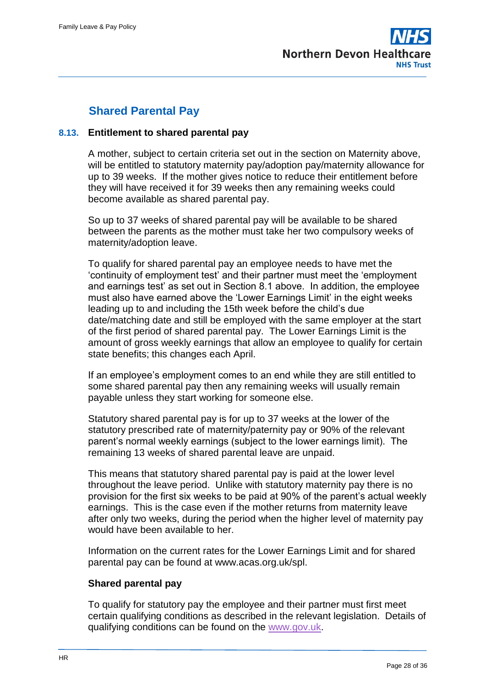

# **Shared Parental Pay**

#### **8.13. Entitlement to shared parental pay**

A mother, subject to certain criteria set out in the section on Maternity above, will be entitled to statutory maternity pay/adoption pay/maternity allowance for up to 39 weeks. If the mother gives notice to reduce their entitlement before they will have received it for 39 weeks then any remaining weeks could become available as shared parental pay.

So up to 37 weeks of shared parental pay will be available to be shared between the parents as the mother must take her two compulsory weeks of maternity/adoption leave.

To qualify for shared parental pay an employee needs to have met the 'continuity of employment test' and their partner must meet the 'employment and earnings test' as set out in Section 8.1 above. In addition, the employee must also have earned above the 'Lower Earnings Limit' in the eight weeks leading up to and including the 15th week before the child's due date/matching date and still be employed with the same employer at the start of the first period of shared parental pay. The Lower Earnings Limit is the amount of gross weekly earnings that allow an employee to qualify for certain state benefits; this changes each April.

If an employee's employment comes to an end while they are still entitled to some shared parental pay then any remaining weeks will usually remain payable unless they start working for someone else.

Statutory shared parental pay is for up to 37 weeks at the lower of the statutory prescribed rate of maternity/paternity pay or 90% of the relevant parent's normal weekly earnings (subject to the lower earnings limit). The remaining 13 weeks of shared parental leave are unpaid.

This means that statutory shared parental pay is paid at the lower level throughout the leave period. Unlike with statutory maternity pay there is no provision for the first six weeks to be paid at 90% of the parent's actual weekly earnings. This is the case even if the mother returns from maternity leave after only two weeks, during the period when the higher level of maternity pay would have been available to her.

Information on the current rates for the Lower Earnings Limit and for shared parental pay can be found at www.acas.org.uk/spl.

#### **Shared parental pay**

To qualify for statutory pay the employee and their partner must first meet certain qualifying conditions as described in the relevant legislation. Details of qualifying conditions can be found on the [www.gov.uk.](http://www.gov.uk/)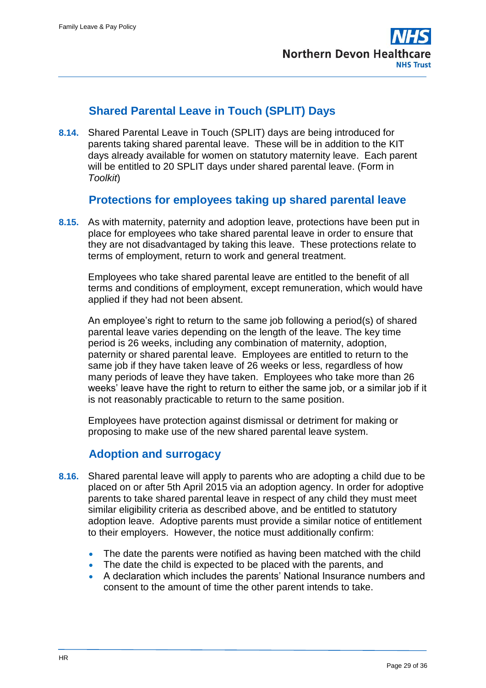# **Shared Parental Leave in Touch (SPLIT) Days**

**8.14.** Shared Parental Leave in Touch (SPLIT) days are being introduced for parents taking shared parental leave. These will be in addition to the KIT days already available for women on statutory maternity leave. Each parent will be entitled to 20 SPLIT days under shared parental leave. (Form in *Toolkit*)

### **Protections for employees taking up shared parental leave**

**8.15.** As with maternity, paternity and adoption leave, protections have been put in place for employees who take shared parental leave in order to ensure that they are not disadvantaged by taking this leave. These protections relate to terms of employment, return to work and general treatment.

Employees who take shared parental leave are entitled to the benefit of all terms and conditions of employment, except remuneration, which would have applied if they had not been absent.

An employee's right to return to the same job following a period(s) of shared parental leave varies depending on the length of the leave. The key time period is 26 weeks, including any combination of maternity, adoption, paternity or shared parental leave. Employees are entitled to return to the same job if they have taken leave of 26 weeks or less, regardless of how many periods of leave they have taken. Employees who take more than 26 weeks' leave have the right to return to either the same job, or a similar job if it is not reasonably practicable to return to the same position.

Employees have protection against dismissal or detriment for making or proposing to make use of the new shared parental leave system.

# **Adoption and surrogacy**

- **8.16.** Shared parental leave will apply to parents who are adopting a child due to be placed on or after 5th April 2015 via an adoption agency. In order for adoptive parents to take shared parental leave in respect of any child they must meet similar eligibility criteria as described above, and be entitled to statutory adoption leave. Adoptive parents must provide a similar notice of entitlement to their employers. However, the notice must additionally confirm:
	- The date the parents were notified as having been matched with the child
	- The date the child is expected to be placed with the parents, and
	- A declaration which includes the parents' National Insurance numbers and consent to the amount of time the other parent intends to take.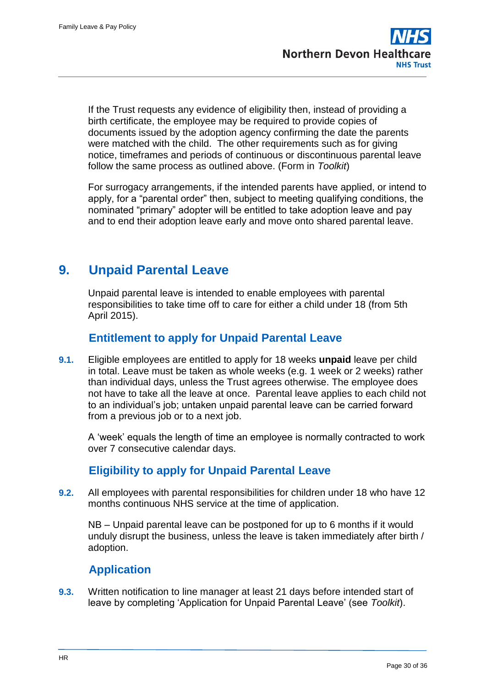If the Trust requests any evidence of eligibility then, instead of providing a birth certificate, the employee may be required to provide copies of documents issued by the adoption agency confirming the date the parents were matched with the child. The other requirements such as for giving notice, timeframes and periods of continuous or discontinuous parental leave follow the same process as outlined above. (Form in *Toolkit*)

For surrogacy arrangements, if the intended parents have applied, or intend to apply, for a "parental order" then, subject to meeting qualifying conditions, the nominated "primary" adopter will be entitled to take adoption leave and pay and to end their adoption leave early and move onto shared parental leave.

# <span id="page-29-0"></span>**9. Unpaid Parental Leave**

Unpaid parental leave is intended to enable employees with parental responsibilities to take time off to care for either a child under 18 (from 5th April 2015).

# **Entitlement to apply for Unpaid Parental Leave**

**9.1.** Eligible employees are entitled to apply for 18 weeks **unpaid** leave per child in total. Leave must be taken as whole weeks (e.g. 1 week or 2 weeks) rather than individual days, unless the Trust agrees otherwise. The employee does not have to take all the leave at once. Parental leave applies to each child not to an individual's job; untaken unpaid parental leave can be carried forward from a previous job or to a next job.

A 'week' equals the length of time an employee is normally contracted to work over 7 consecutive calendar days.

# **Eligibility to apply for Unpaid Parental Leave**

**9.2.** All employees with parental responsibilities for children under 18 who have 12 months continuous NHS service at the time of application.

NB – Unpaid parental leave can be postponed for up to 6 months if it would unduly disrupt the business, unless the leave is taken immediately after birth / adoption.

# **Application**

**9.3.** Written notification to line manager at least 21 days before intended start of leave by completing 'Application for Unpaid Parental Leave' (see *Toolkit*).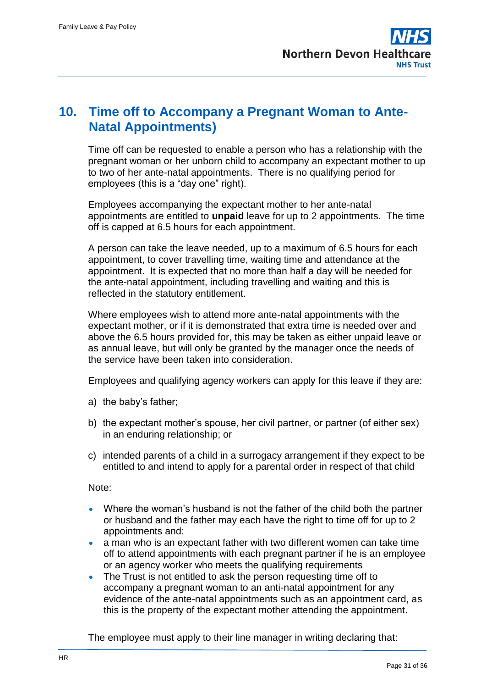# <span id="page-30-0"></span>**10. Time off to Accompany a Pregnant Woman to Ante-Natal Appointments)**

Time off can be requested to enable a person who has a relationship with the pregnant woman or her unborn child to accompany an expectant mother to up to two of her ante-natal appointments. There is no qualifying period for employees (this is a "day one" right).

Employees accompanying the expectant mother to her ante-natal appointments are entitled to **unpaid** leave for up to 2 appointments. The time off is capped at 6.5 hours for each appointment.

A person can take the leave needed, up to a maximum of 6.5 hours for each appointment, to cover travelling time, waiting time and attendance at the appointment. It is expected that no more than half a day will be needed for the ante-natal appointment, including travelling and waiting and this is reflected in the statutory entitlement.

Where employees wish to attend more ante-natal appointments with the expectant mother, or if it is demonstrated that extra time is needed over and above the 6.5 hours provided for, this may be taken as either unpaid leave or as annual leave, but will only be granted by the manager once the needs of the service have been taken into consideration.

Employees and qualifying agency workers can apply for this leave if they are:

- a) the baby's father;
- b) the expectant mother's spouse, her civil partner, or partner (of either sex) in an enduring relationship; or
- c) intended parents of a child in a surrogacy arrangement if they expect to be entitled to and intend to apply for a parental order in respect of that child

Note:

- Where the woman's husband is not the father of the child both the partner or husband and the father may each have the right to time off for up to 2 appointments and:
- a man who is an expectant father with two different women can take time off to attend appointments with each pregnant partner if he is an employee or an agency worker who meets the qualifying requirements
- The Trust is not entitled to ask the person requesting time off to accompany a pregnant woman to an anti-natal appointment for any evidence of the ante-natal appointments such as an appointment card, as this is the property of the expectant mother attending the appointment.

The employee must apply to their line manager in writing declaring that: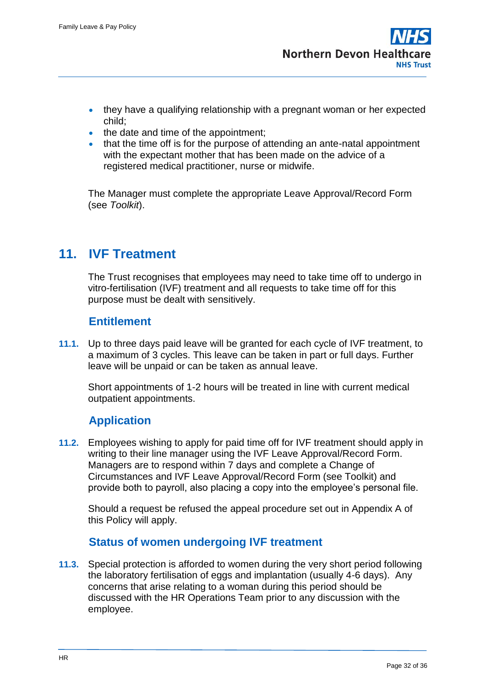- they have a qualifying relationship with a pregnant woman or her expected child;
- the date and time of the appointment;
- that the time off is for the purpose of attending an ante-natal appointment with the expectant mother that has been made on the advice of a registered medical practitioner, nurse or midwife.

The Manager must complete the appropriate Leave Approval/Record Form (see *Toolkit*).

# <span id="page-31-0"></span>**11. IVF Treatment**

The Trust recognises that employees may need to take time off to undergo in vitro-fertilisation (IVF) treatment and all requests to take time off for this purpose must be dealt with sensitively.

### **Entitlement**

**11.1.** Up to three days paid leave will be granted for each cycle of IVF treatment, to a maximum of 3 cycles. This leave can be taken in part or full days. Further leave will be unpaid or can be taken as annual leave.

Short appointments of 1-2 hours will be treated in line with current medical outpatient appointments.

# **Application**

**11.2.** Employees wishing to apply for paid time off for IVF treatment should apply in writing to their line manager using the IVF Leave Approval/Record Form. Managers are to respond within 7 days and complete a Change of Circumstances and IVF Leave Approval/Record Form (see Toolkit) and provide both to payroll, also placing a copy into the employee's personal file.

Should a request be refused the appeal procedure set out in Appendix A of this Policy will apply.

#### **Status of women undergoing IVF treatment**

**11.3.** Special protection is afforded to women during the very short period following the laboratory fertilisation of eggs and implantation (usually 4-6 days). Any concerns that arise relating to a woman during this period should be discussed with the HR Operations Team prior to any discussion with the employee.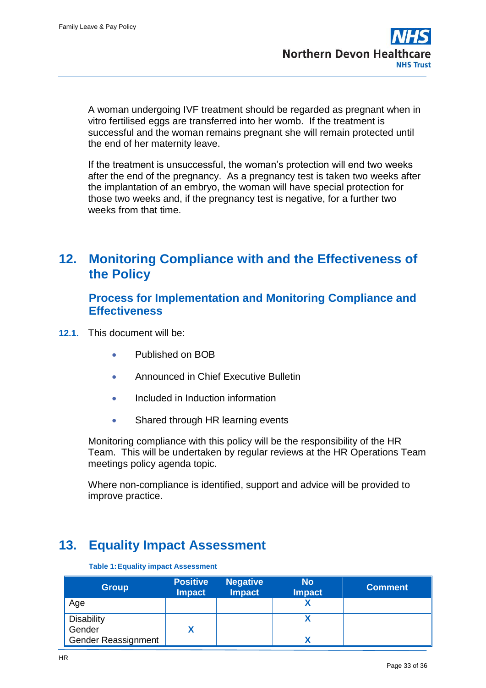A woman undergoing IVF treatment should be regarded as pregnant when in vitro fertilised eggs are transferred into her womb. If the treatment is successful and the woman remains pregnant she will remain protected until the end of her maternity leave.

If the treatment is unsuccessful, the woman's protection will end two weeks after the end of the pregnancy. As a pregnancy test is taken two weeks after the implantation of an embryo, the woman will have special protection for those two weeks and, if the pregnancy test is negative, for a further two weeks from that time.

# <span id="page-32-0"></span>**12. Monitoring Compliance with and the Effectiveness of the Policy**

#### **Process for Implementation and Monitoring Compliance and Effectiveness**

- **12.1.** This document will be:
	- Published on BOB
	- **Announced in Chief Executive Bulletin**
	- Included in Induction information
	- Shared through HR learning events

Monitoring compliance with this policy will be the responsibility of the HR Team. This will be undertaken by regular reviews at the HR Operations Team meetings policy agenda topic.

Where non-compliance is identified, support and advice will be provided to improve practice.

# <span id="page-32-1"></span>**13. Equality Impact Assessment**

**Table 1:Equality impact Assessment**

| <b>Group</b>               | <b>Positive</b><br><b>Impact</b> | <b>Negative</b><br><b>Impact</b> | <b>No</b><br><b>Impact</b> | <b>Comment</b> |
|----------------------------|----------------------------------|----------------------------------|----------------------------|----------------|
| Age                        |                                  |                                  |                            |                |
| <b>Disability</b>          |                                  |                                  |                            |                |
| Gender                     |                                  |                                  |                            |                |
| <b>Gender Reassignment</b> |                                  |                                  |                            |                |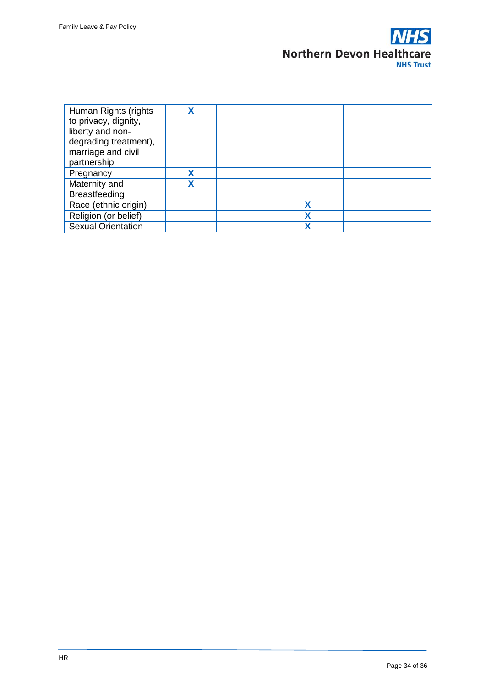

| Human Rights (rights      |  |   |  |
|---------------------------|--|---|--|
| to privacy, dignity,      |  |   |  |
| liberty and non-          |  |   |  |
| degrading treatment),     |  |   |  |
| marriage and civil        |  |   |  |
| partnership               |  |   |  |
| Pregnancy                 |  |   |  |
| Maternity and             |  |   |  |
| <b>Breastfeeding</b>      |  |   |  |
| Race (ethnic origin)      |  | χ |  |
| Religion (or belief)      |  | χ |  |
| <b>Sexual Orientation</b> |  |   |  |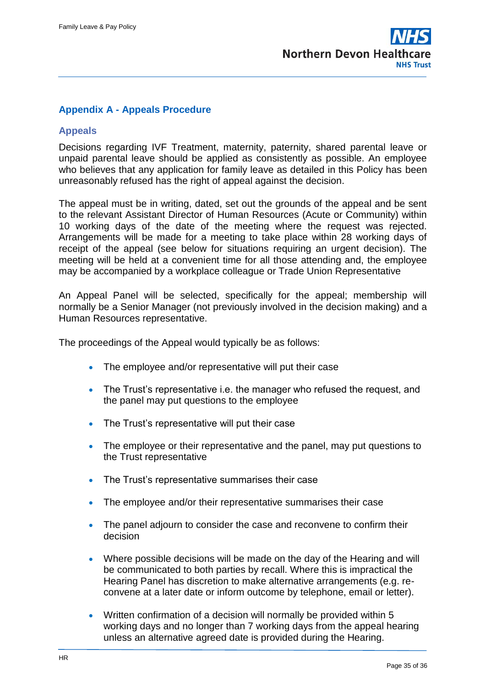#### <span id="page-34-0"></span>**Appendix A - Appeals Procedure**

#### **Appeals**

Decisions regarding IVF Treatment, maternity, paternity, shared parental leave or unpaid parental leave should be applied as consistently as possible. An employee who believes that any application for family leave as detailed in this Policy has been unreasonably refused has the right of appeal against the decision.

The appeal must be in writing, dated, set out the grounds of the appeal and be sent to the relevant Assistant Director of Human Resources (Acute or Community) within 10 working days of the date of the meeting where the request was rejected. Arrangements will be made for a meeting to take place within 28 working days of receipt of the appeal (see below for situations requiring an urgent decision). The meeting will be held at a convenient time for all those attending and, the employee may be accompanied by a workplace colleague or Trade Union Representative

An Appeal Panel will be selected, specifically for the appeal; membership will normally be a Senior Manager (not previously involved in the decision making) and a Human Resources representative.

The proceedings of the Appeal would typically be as follows:

- The employee and/or representative will put their case
- The Trust's representative i.e. the manager who refused the request, and the panel may put questions to the employee
- The Trust's representative will put their case
- The employee or their representative and the panel, may put questions to the Trust representative
- The Trust's representative summarises their case
- The employee and/or their representative summarises their case
- The panel adjourn to consider the case and reconvene to confirm their decision
- Where possible decisions will be made on the day of the Hearing and will be communicated to both parties by recall. Where this is impractical the Hearing Panel has discretion to make alternative arrangements (e.g. reconvene at a later date or inform outcome by telephone, email or letter).
- Written confirmation of a decision will normally be provided within 5 working days and no longer than 7 working days from the appeal hearing unless an alternative agreed date is provided during the Hearing.